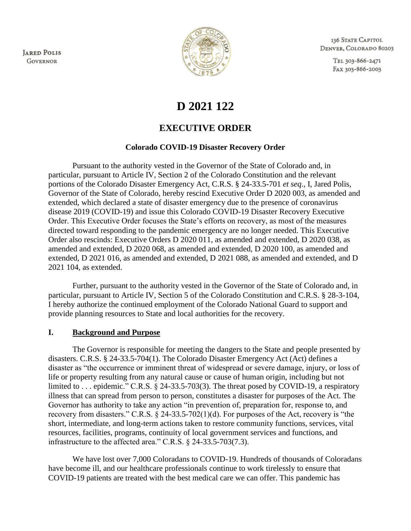**JARED POLIS GOVERNOR** 



136 STATE CAPITOL DENVER, COLORADO 80203

> TEL 303-866-2471 FAX 303-866-2003

# **D 2021 122**

# **EXECUTIVE ORDER**

#### **Colorado COVID-19 Disaster Recovery Order**

Pursuant to the authority vested in the Governor of the State of Colorado and, in particular, pursuant to Article IV, Section 2 of the Colorado Constitution and the relevant portions of the Colorado Disaster Emergency Act, C.R.S. § 24-33.5-701 *et seq*., I, Jared Polis, Governor of the State of Colorado, hereby rescind Executive Order D 2020 003, as amended and extended, which declared a state of disaster emergency due to the presence of coronavirus disease 2019 (COVID-19) and issue this Colorado COVID-19 Disaster Recovery Executive Order. This Executive Order focuses the State's efforts on recovery, as most of the measures directed toward responding to the pandemic emergency are no longer needed. This Executive Order also rescinds: Executive Orders D 2020 011, as amended and extended, D 2020 038, as amended and extended, D 2020 068, as amended and extended, D 2020 100, as amended and extended, D 2021 016, as amended and extended, D 2021 088, as amended and extended, and D 2021 104, as extended.

Further, pursuant to the authority vested in the Governor of the State of Colorado and, in particular, pursuant to Article IV, Section 5 of the Colorado Constitution and C.R.S. § 28-3-104, I hereby authorize the continued employment of the Colorado National Guard to support and provide planning resources to State and local authorities for the recovery.

#### **I. Background and Purpose**

The Governor is responsible for meeting the dangers to the State and people presented by disasters. C.R.S. § 24-33.5-704(1). The Colorado Disaster Emergency Act (Act) defines a disaster as "the occurrence or imminent threat of widespread or severe damage, injury, or loss of life or property resulting from any natural cause or cause of human origin, including but not limited to . . . epidemic." C.R.S. § 24-33.5-703(3). The threat posed by COVID-19, a respiratory illness that can spread from person to person, constitutes a disaster for purposes of the Act. The Governor has authority to take any action "in prevention of, preparation for, response to, and recovery from disasters." C.R.S. § 24-33.5-702(1)(d). For purposes of the Act, recovery is "the short, intermediate, and long-term actions taken to restore community functions, services, vital resources, facilities, programs, continuity of local government services and functions, and infrastructure to the affected area." C.R.S. § 24-33.5-703(7.3).

We have lost over 7,000 Coloradans to COVID-19. Hundreds of thousands of Coloradans have become ill, and our healthcare professionals continue to work tirelessly to ensure that COVID-19 patients are treated with the best medical care we can offer. This pandemic has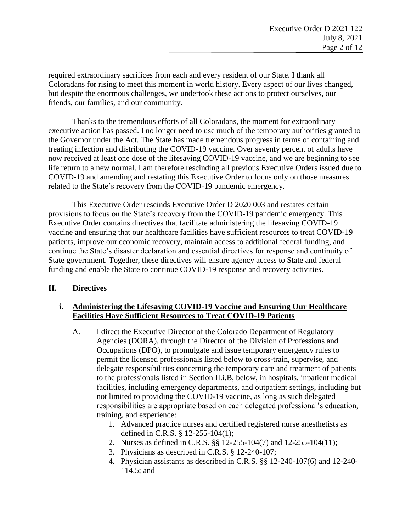required extraordinary sacrifices from each and every resident of our State. I thank all Coloradans for rising to meet this moment in world history. Every aspect of our lives changed, but despite the enormous challenges, we undertook these actions to protect ourselves, our friends, our families, and our community.

Thanks to the tremendous efforts of all Coloradans, the moment for extraordinary executive action has passed. I no longer need to use much of the temporary authorities granted to the Governor under the Act. The State has made tremendous progress in terms of containing and treating infection and distributing the COVID-19 vaccine. Over seventy percent of adults have now received at least one dose of the lifesaving COVID-19 vaccine, and we are beginning to see life return to a new normal. I am therefore rescinding all previous Executive Orders issued due to COVID-19 and amending and restating this Executive Order to focus only on those measures related to the State's recovery from the COVID-19 pandemic emergency.

This Executive Order rescinds Executive Order D 2020 003 and restates certain provisions to focus on the State's recovery from the COVID-19 pandemic emergency. This Executive Order contains directives that facilitate administering the lifesaving COVID-19 vaccine and ensuring that our healthcare facilities have sufficient resources to treat COVID-19 patients, improve our economic recovery, maintain access to additional federal funding, and continue the State's disaster declaration and essential directives for response and continuity of State government. Together, these directives will ensure agency access to State and federal funding and enable the State to continue COVID-19 response and recovery activities.

## **II. Directives**

#### **i. Administering the Lifesaving COVID-19 Vaccine and Ensuring Our Healthcare Facilities Have Sufficient Resources to Treat COVID-19 Patients**

- A. I direct the Executive Director of the Colorado Department of Regulatory Agencies (DORA), through the Director of the Division of Professions and Occupations (DPO), to promulgate and issue temporary emergency rules to permit the licensed professionals listed below to cross-train, supervise, and delegate responsibilities concerning the temporary care and treatment of patients to the professionals listed in Section II.i.B, below, in hospitals, inpatient medical facilities, including emergency departments, and outpatient settings, including but not limited to providing the COVID-19 vaccine, as long as such delegated responsibilities are appropriate based on each delegated professional's education, training, and experience:
	- 1. Advanced practice nurses and certified registered nurse anesthetists as defined in C.R.S. § 12-255-104(1);
	- 2. Nurses as defined in C.R.S. §§ 12-255-104(7) and 12-255-104(11);
	- 3. Physicians as described in C.R.S. § 12-240-107;
	- 4. Physician assistants as described in C.R.S. §§ 12-240-107(6) and 12-240- 114.5; and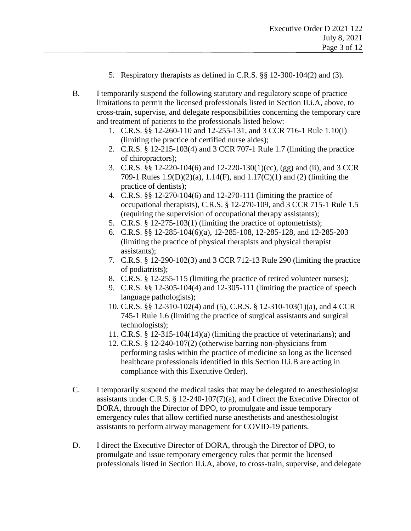- 5. Respiratory therapists as defined in C.R.S. §§ 12-300-104(2) and (3).
- B. I temporarily suspend the following statutory and regulatory scope of practice limitations to permit the licensed professionals listed in Section II.i.A, above, to cross-train, supervise, and delegate responsibilities concerning the temporary care and treatment of patients to the professionals listed below:
	- 1. C.R.S. §§ 12-260-110 and 12-255-131, and 3 CCR 716-1 Rule 1.10(I) (limiting the practice of certified nurse aides);
	- 2. C.R.S. § 12-215-103(4) and 3 CCR 707-1 Rule 1.7 (limiting the practice of chiropractors);
	- 3. C.R.S. §§ 12-220-104(6) and 12-220-130(1)(cc), (gg) and (ii), and 3 CCR 709-1 Rules 1.9(D)(2)(a), 1.14(F), and 1.17(C)(1) and (2) (limiting the practice of dentists);
	- 4. C.R.S. §§ 12-270-104(6) and 12-270-111 (limiting the practice of occupational therapists), C.R.S. § 12-270-109, and 3 CCR 715-1 Rule 1.5 (requiring the supervision of occupational therapy assistants);
	- 5. C.R.S. § 12-275-103(1) (limiting the practice of optometrists);
	- 6. C.R.S. §§ 12-285-104(6)(a), 12-285-108, 12-285-128, and 12-285-203 (limiting the practice of physical therapists and physical therapist assistants);
	- 7. C.R.S. § 12-290-102(3) and 3 CCR 712-13 Rule 290 (limiting the practice of podiatrists);
	- 8. C.R.S. § 12-255-115 (limiting the practice of retired volunteer nurses);
	- 9. C.R.S. §§ 12-305-104(4) and 12-305-111 (limiting the practice of speech language pathologists);
	- 10. C.R.S. §§ 12-310-102(4) and (5), C.R.S. § 12-310-103(1)(a), and 4 CCR 745-1 Rule 1.6 (limiting the practice of surgical assistants and surgical technologists);
	- 11. C.R.S. § 12-315-104(14)(a) (limiting the practice of veterinarians); and
	- 12. C.R.S. § 12-240-107(2) (otherwise barring non-physicians from performing tasks within the practice of medicine so long as the licensed healthcare professionals identified in this Section II.i.B are acting in compliance with this Executive Order).
- C. I temporarily suspend the medical tasks that may be delegated to anesthesiologist assistants under C.R.S. § 12-240-107(7)(a), and I direct the Executive Director of DORA, through the Director of DPO, to promulgate and issue temporary emergency rules that allow certified nurse anesthetists and anesthesiologist assistants to perform airway management for COVID-19 patients.
- D. I direct the Executive Director of DORA, through the Director of DPO, to promulgate and issue temporary emergency rules that permit the licensed professionals listed in Section II.i.A, above, to cross-train, supervise, and delegate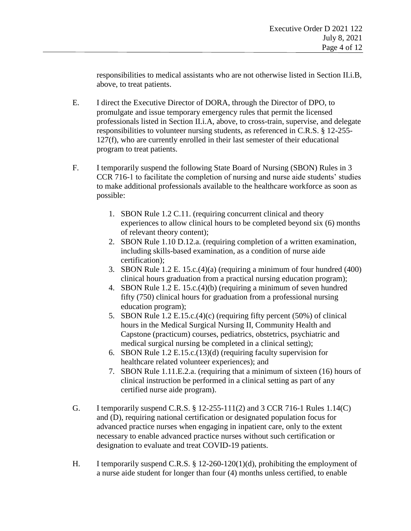responsibilities to medical assistants who are not otherwise listed in Section II.i.B, above, to treat patients.

- E. I direct the Executive Director of DORA, through the Director of DPO, to promulgate and issue temporary emergency rules that permit the licensed professionals listed in Section II.i.A, above, to cross-train, supervise, and delegate responsibilities to volunteer nursing students, as referenced in C.R.S. § 12-255- 127(f), who are currently enrolled in their last semester of their educational program to treat patients.
- F. I temporarily suspend the following State Board of Nursing (SBON) Rules in 3 CCR 716-1 to facilitate the completion of nursing and nurse aide students' studies to make additional professionals available to the healthcare workforce as soon as possible:
	- 1. SBON Rule 1.2 C.11. (requiring concurrent clinical and theory experiences to allow clinical hours to be completed beyond six (6) months of relevant theory content);
	- 2. SBON Rule 1.10 D.12.a. (requiring completion of a written examination, including skills-based examination, as a condition of nurse aide certification);
	- 3. SBON Rule 1.2 E. 15.c.(4)(a) (requiring a minimum of four hundred (400) clinical hours graduation from a practical nursing education program);
	- 4. SBON Rule 1.2 E. 15.c.(4)(b) (requiring a minimum of seven hundred fifty (750) clinical hours for graduation from a professional nursing education program);
	- 5. SBON Rule 1.2 E.15.c.(4)(c) (requiring fifty percent (50%) of clinical hours in the Medical Surgical Nursing II, Community Health and Capstone (practicum) courses, pediatrics, obstetrics, psychiatric and medical surgical nursing be completed in a clinical setting);
	- 6. SBON Rule 1.2 E.15.c.(13)(d) (requiring faculty supervision for healthcare related volunteer experiences); and
	- 7. SBON Rule 1.11.E.2.a. (requiring that a minimum of sixteen (16) hours of clinical instruction be performed in a clinical setting as part of any certified nurse aide program).
- G. I temporarily suspend C.R.S. § 12-255-111(2) and 3 CCR 716-1 Rules 1.14(C) and (D), requiring national certification or designated population focus for advanced practice nurses when engaging in inpatient care, only to the extent necessary to enable advanced practice nurses without such certification or designation to evaluate and treat COVID-19 patients.
- H. I temporarily suspend C.R.S. § 12-260-120(1)(d), prohibiting the employment of a nurse aide student for longer than four (4) months unless certified, to enable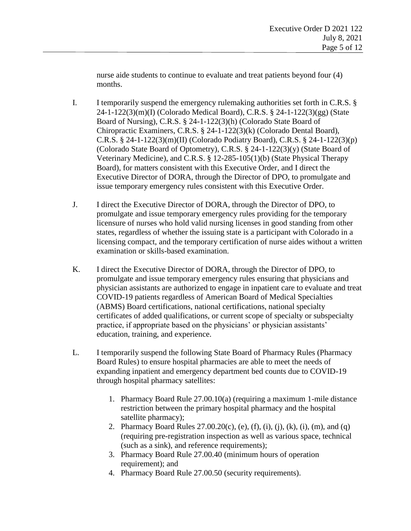nurse aide students to continue to evaluate and treat patients beyond four (4) months.

- I. I temporarily suspend the emergency rulemaking authorities set forth in C.R.S. § 24-1-122(3)(m)(I) (Colorado Medical Board), C.R.S. § 24-1-122(3)(gg) (State Board of Nursing), C.R.S. § 24-1-122(3)(h) (Colorado State Board of Chiropractic Examiners, C.R.S. § 24-1-122(3)(k) (Colorado Dental Board), C.R.S. § 24-1-122(3)(m)(II) (Colorado Podiatry Board), C.R.S. § 24-1-122(3)(p) (Colorado State Board of Optometry), C.R.S.  $\S$  24-1-122(3)(y) (State Board of Veterinary Medicine), and C.R.S. § 12-285-105(1)(b) (State Physical Therapy Board), for matters consistent with this Executive Order, and I direct the Executive Director of DORA, through the Director of DPO, to promulgate and issue temporary emergency rules consistent with this Executive Order.
- J. I direct the Executive Director of DORA, through the Director of DPO, to promulgate and issue temporary emergency rules providing for the temporary licensure of nurses who hold valid nursing licenses in good standing from other states, regardless of whether the issuing state is a participant with Colorado in a licensing compact, and the temporary certification of nurse aides without a written examination or skills-based examination.
- K. I direct the Executive Director of DORA, through the Director of DPO, to promulgate and issue temporary emergency rules ensuring that physicians and physician assistants are authorized to engage in inpatient care to evaluate and treat COVID-19 patients regardless of American Board of Medical Specialties (ABMS) Board certifications, national certifications, national specialty certificates of added qualifications, or current scope of specialty or subspecialty practice, if appropriate based on the physicians' or physician assistants' education, training, and experience.
- L. I temporarily suspend the following State Board of Pharmacy Rules (Pharmacy Board Rules) to ensure hospital pharmacies are able to meet the needs of expanding inpatient and emergency department bed counts due to COVID-19 through hospital pharmacy satellites:
	- 1. Pharmacy Board Rule 27.00.10(a) (requiring a maximum 1-mile distance restriction between the primary hospital pharmacy and the hospital satellite pharmacy);
	- 2. Pharmacy Board Rules 27.00.20(c), (e), (f), (i), (j), (k), (i), (m), and (q) (requiring pre-registration inspection as well as various space, technical (such as a sink), and reference requirements);
	- 3. Pharmacy Board Rule 27.00.40 (minimum hours of operation requirement); and
	- 4. Pharmacy Board Rule 27.00.50 (security requirements).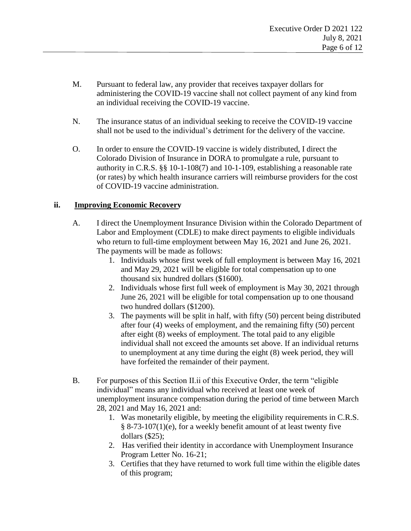- M. Pursuant to federal law, any provider that receives taxpayer dollars for administering the COVID-19 vaccine shall not collect payment of any kind from an individual receiving the COVID-19 vaccine.
- N. The insurance status of an individual seeking to receive the COVID-19 vaccine shall not be used to the individual's detriment for the delivery of the vaccine.
- O. In order to ensure the COVID-19 vaccine is widely distributed, I direct the Colorado Division of Insurance in DORA to promulgate a rule, pursuant to authority in C.R.S. §§ 10-1-108(7) and 10-1-109, establishing a reasonable rate (or rates) by which health insurance carriers will reimburse providers for the cost of COVID-19 vaccine administration.

#### **ii. Improving Economic Recovery**

- A. I direct the Unemployment Insurance Division within the Colorado Department of Labor and Employment (CDLE) to make direct payments to eligible individuals who return to full-time employment between May 16, 2021 and June 26, 2021. The payments will be made as follows:
	- 1. Individuals whose first week of full employment is between May 16, 2021 and May 29, 2021 will be eligible for total compensation up to one thousand six hundred dollars (\$1600).
	- 2. Individuals whose first full week of employment is May 30, 2021 through June 26, 2021 will be eligible for total compensation up to one thousand two hundred dollars (\$1200).
	- 3. The payments will be split in half, with fifty (50) percent being distributed after four (4) weeks of employment, and the remaining fifty (50) percent after eight (8) weeks of employment. The total paid to any eligible individual shall not exceed the amounts set above. If an individual returns to unemployment at any time during the eight (8) week period, they will have forfeited the remainder of their payment.
- B. For purposes of this Section II.ii of this Executive Order, the term "eligible individual" means any individual who received at least one week of unemployment insurance compensation during the period of time between March 28, 2021 and May 16, 2021 and:
	- 1. Was monetarily eligible, by meeting the eligibility requirements in C.R.S. § 8-73-107(1)(e), for a weekly benefit amount of at least twenty five dollars (\$25);
	- 2. Has verified their identity in accordance with Unemployment Insurance Program Letter No. 16-21;
	- 3. Certifies that they have returned to work full time within the eligible dates of this program;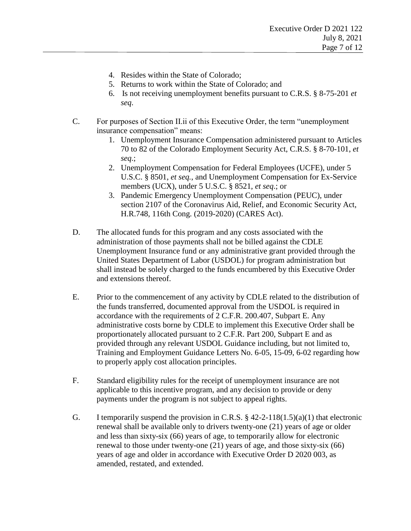- 4. Resides within the State of Colorado;
- 5. Returns to work within the State of Colorado; and
- 6. Is not receiving unemployment benefits pursuant to C.R.S. § 8-75-201 *et seq*.
- C. For purposes of Section II.ii of this Executive Order, the term "unemployment insurance compensation" means:
	- 1. Unemployment Insurance Compensation administered pursuant to Articles 70 to 82 of the Colorado Employment Security Act, C.R.S. § 8-70-101, *et seq*.;
	- 2. Unemployment Compensation for Federal Employees (UCFE), under 5 U.S.C. § 8501, *et seq.*, and Unemployment Compensation for Ex-Service members (UCX), under 5 U.S.C. § 8521, *et seq*.; or
	- 3. Pandemic Emergency Unemployment Compensation (PEUC), under section 2107 of the Coronavirus Aid, Relief, and Economic Security Act, H.R.748, 116th Cong. (2019-2020) (CARES Act).
- D. The allocated funds for this program and any costs associated with the administration of those payments shall not be billed against the CDLE Unemployment Insurance fund or any administrative grant provided through the United States Department of Labor (USDOL) for program administration but shall instead be solely charged to the funds encumbered by this Executive Order and extensions thereof.
- E. Prior to the commencement of any activity by CDLE related to the distribution of the funds transferred, documented approval from the USDOL is required in accordance with the requirements of 2 C.F.R. 200.407, Subpart E. Any administrative costs borne by CDLE to implement this Executive Order shall be proportionately allocated pursuant to 2 C.F.R. Part 200, Subpart E and as provided through any relevant USDOL Guidance including, but not limited to, Training and Employment Guidance Letters No. 6-05, 15-09, 6-02 regarding how to properly apply cost allocation principles.
- F. Standard eligibility rules for the receipt of unemployment insurance are not applicable to this incentive program, and any decision to provide or deny payments under the program is not subject to appeal rights.
- G. I temporarily suspend the provision in C.R.S.  $\S$  42-2-118(1.5)(a)(1) that electronic renewal shall be available only to drivers twenty-one (21) years of age or older and less than sixty-six (66) years of age, to temporarily allow for electronic renewal to those under twenty-one (21) years of age, and those sixty-six (66) years of age and older in accordance with Executive Order D 2020 003, as amended, restated, and extended.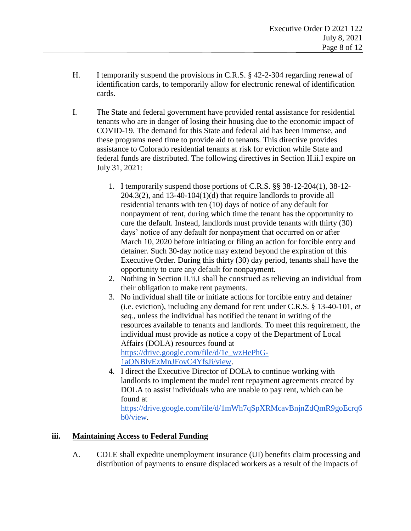- H. I temporarily suspend the provisions in C.R.S. § 42-2-304 regarding renewal of identification cards, to temporarily allow for electronic renewal of identification cards.
- I. The State and federal government have provided rental assistance for residential tenants who are in danger of losing their housing due to the economic impact of COVID-19. The demand for this State and federal aid has been immense, and these programs need time to provide aid to tenants. This directive provides assistance to Colorado residential tenants at risk for eviction while State and federal funds are distributed. The following directives in Section II.ii.I expire on July 31, 2021:
	- 1. I temporarily suspend those portions of C.R.S. §§ 38-12-204(1), 38-12-  $204.3(2)$ , and  $13-40-104(1)(d)$  that require landlords to provide all residential tenants with ten (10) days of notice of any default for nonpayment of rent, during which time the tenant has the opportunity to cure the default. Instead, landlords must provide tenants with thirty (30) days' notice of any default for nonpayment that occurred on or after March 10, 2020 before initiating or filing an action for forcible entry and detainer. Such 30-day notice may extend beyond the expiration of this Executive Order. During this thirty (30) day period, tenants shall have the opportunity to cure any default for nonpayment.
	- 2. Nothing in Section II.ii.I shall be construed as relieving an individual from their obligation to make rent payments.
	- 3. No individual shall file or initiate actions for forcible entry and detainer (i.e. eviction), including any demand for rent under C.R.S. § 13-40-101, *et seq.*, unless the individual has notified the tenant in writing of the resources available to tenants and landlords. To meet this requirement, the individual must provide as notice a copy of the Department of Local Affairs (DOLA) resources found at

[https://drive.google.com/file/d/1e\\_wzHePhG-](https://drive.google.com/file/d/1e_wzHePhG-1aONBlvEzMnJFovC4YfsJi/view)[1aONBlvEzMnJFovC4YfsJi/view.](https://drive.google.com/file/d/1e_wzHePhG-1aONBlvEzMnJFovC4YfsJi/view)

4. I direct the Executive Director of DOLA to continue working with landlords to implement the model rent repayment agreements created by DOLA to assist individuals who are unable to pay rent, which can be found at

[https://drive.google.com/file/d/1mWh7qSpXRMcavBnjnZdQmR9goEcrq6](https://drive.google.com/file/d/1mWh7qSpXRMcavBnjnZdQmR9goEcrq6b0/view) [b0/view.](https://drive.google.com/file/d/1mWh7qSpXRMcavBnjnZdQmR9goEcrq6b0/view)

#### **iii. Maintaining Access to Federal Funding**

A. CDLE shall expedite unemployment insurance (UI) benefits claim processing and distribution of payments to ensure displaced workers as a result of the impacts of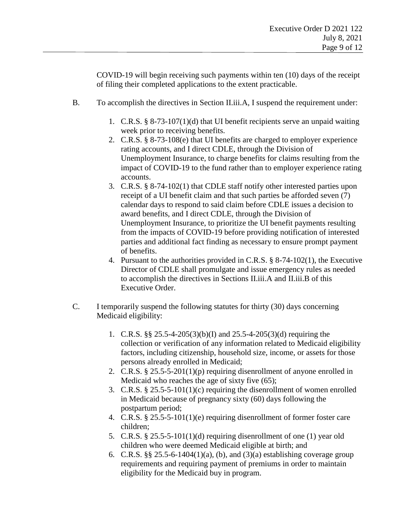COVID-19 will begin receiving such payments within ten (10) days of the receipt of filing their completed applications to the extent practicable.

- B. To accomplish the directives in Section II.iii.A, I suspend the requirement under:
	- 1. C.R.S. § 8-73-107(1)(d) that UI benefit recipients serve an unpaid waiting week prior to receiving benefits.
	- 2. C.R.S. § 8-73-108(e) that UI benefits are charged to employer experience rating accounts, and I direct CDLE, through the Division of Unemployment Insurance, to charge benefits for claims resulting from the impact of COVID-19 to the fund rather than to employer experience rating accounts.
	- 3. C.R.S. § 8-74-102(1) that CDLE staff notify other interested parties upon receipt of a UI benefit claim and that such parties be afforded seven (7) calendar days to respond to said claim before CDLE issues a decision to award benefits, and I direct CDLE, through the Division of Unemployment Insurance, to prioritize the UI benefit payments resulting from the impacts of COVID-19 before providing notification of interested parties and additional fact finding as necessary to ensure prompt payment of benefits.
	- 4. Pursuant to the authorities provided in C.R.S. § 8-74-102(1), the Executive Director of CDLE shall promulgate and issue emergency rules as needed to accomplish the directives in Sections II.iii.A and II.iii.B of this Executive Order.
- C. I temporarily suspend the following statutes for thirty (30) days concerning Medicaid eligibility:
	- 1. C.R.S. §§ 25.5-4-205(3)(b)(I) and 25.5-4-205(3)(d) requiring the collection or verification of any information related to Medicaid eligibility factors, including citizenship, household size, income, or assets for those persons already enrolled in Medicaid;
	- 2. C.R.S. § 25.5-5-201(1)(p) requiring disenrollment of anyone enrolled in Medicaid who reaches the age of sixty five (65);
	- 3. C.R.S. § 25.5-5-101(1)(c) requiring the disenrollment of women enrolled in Medicaid because of pregnancy sixty (60) days following the postpartum period;
	- 4. C.R.S. § 25.5-5-101(1)(e) requiring disenrollment of former foster care children;
	- 5. C.R.S. § 25.5-5-101(1)(d) requiring disenrollment of one (1) year old children who were deemed Medicaid eligible at birth; and
	- 6. C.R.S. §§ 25.5-6-1404(1)(a), (b), and (3)(a) establishing coverage group requirements and requiring payment of premiums in order to maintain eligibility for the Medicaid buy in program.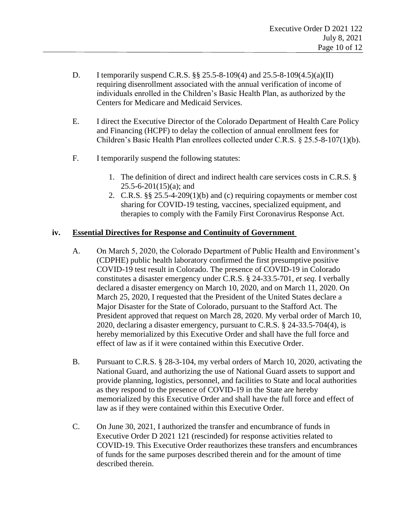- D. I temporarily suspend C.R.S. §§ 25.5-8-109(4) and 25.5-8-109(4.5)(a)(II) requiring disenrollment associated with the annual verification of income of individuals enrolled in the Children's Basic Health Plan, as authorized by the Centers for Medicare and Medicaid Services.
- E. I direct the Executive Director of the Colorado Department of Health Care Policy and Financing (HCPF) to delay the collection of annual enrollment fees for Children's Basic Health Plan enrollees collected under C.R.S. § 25.5-8-107(1)(b).
- F. I temporarily suspend the following statutes:
	- 1. The definition of direct and indirect health care services costs in C.R.S. §  $25.5 - 6 - 201(15)(a)$ ; and
	- 2. C.R.S. §§ 25.5-4-209(1)(b) and (c) requiring copayments or member cost sharing for COVID-19 testing, vaccines, specialized equipment, and therapies to comply with the Family First Coronavirus Response Act.

#### **iv. Essential Directives for Response and Continuity of Government**

- A. On March 5, 2020, the Colorado Department of Public Health and Environment's (CDPHE) public health laboratory confirmed the first presumptive positive COVID-19 test result in Colorado. The presence of COVID-19 in Colorado constitutes a disaster emergency under C.R.S. § 24-33.5-701, *et seq*. I verbally declared a disaster emergency on March 10, 2020, and on March 11, 2020. On March 25, 2020, I requested that the President of the United States declare a Major Disaster for the State of Colorado, pursuant to the Stafford Act. The President approved that request on March 28, 2020. My verbal order of March 10, 2020, declaring a disaster emergency, pursuant to C.R.S. § 24-33.5-704(4), is hereby memorialized by this Executive Order and shall have the full force and effect of law as if it were contained within this Executive Order.
- B. Pursuant to C.R.S. § 28-3-104, my verbal orders of March 10, 2020, activating the National Guard, and authorizing the use of National Guard assets to support and provide planning, logistics, personnel, and facilities to State and local authorities as they respond to the presence of COVID-19 in the State are hereby memorialized by this Executive Order and shall have the full force and effect of law as if they were contained within this Executive Order.
- C. On June 30, 2021, I authorized the transfer and encumbrance of funds in Executive Order D 2021 121 (rescinded) for response activities related to COVID-19. This Executive Order reauthorizes these transfers and encumbrances of funds for the same purposes described therein and for the amount of time described therein.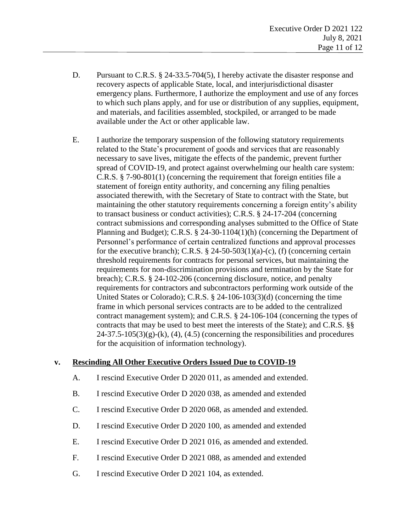- D. Pursuant to C.R.S. § 24-33.5-704(5), I hereby activate the disaster response and recovery aspects of applicable State, local, and interjurisdictional disaster emergency plans. Furthermore, I authorize the employment and use of any forces to which such plans apply, and for use or distribution of any supplies, equipment, and materials, and facilities assembled, stockpiled, or arranged to be made available under the Act or other applicable law.
- E. I authorize the temporary suspension of the following statutory requirements related to the State's procurement of goods and services that are reasonably necessary to save lives, mitigate the effects of the pandemic, prevent further spread of COVID-19, and protect against overwhelming our health care system: C.R.S. § 7-90-801(1) (concerning the requirement that foreign entities file a statement of foreign entity authority, and concerning any filing penalties associated therewith, with the Secretary of State to contract with the State, but maintaining the other statutory requirements concerning a foreign entity's ability to transact business or conduct activities); C.R.S. § 24-17-204 (concerning contract submissions and corresponding analyses submitted to the Office of State Planning and Budget); C.R.S. § 24-30-1104(1)(h) (concerning the Department of Personnel's performance of certain centralized functions and approval processes for the executive branch); C.R.S.  $\S$  24-50-503(1)(a)-(c), (f) (concerning certain threshold requirements for contracts for personal services, but maintaining the requirements for non-discrimination provisions and termination by the State for breach); C.R.S. § 24-102-206 (concerning disclosure, notice, and penalty requirements for contractors and subcontractors performing work outside of the United States or Colorado); C.R.S. § 24-106-103(3)(d) (concerning the time frame in which personal services contracts are to be added to the centralized contract management system); and C.R.S. § 24-106-104 (concerning the types of contracts that may be used to best meet the interests of the State); and C.R.S. §§  $24-37.5-105(3)(g)-(k)$ ,  $(4)$ ,  $(4.5)$  (concerning the responsibilities and procedures for the acquisition of information technology).

## **v. Rescinding All Other Executive Orders Issued Due to COVID-19**

- A. I rescind Executive Order D 2020 011, as amended and extended.
- B. I rescind Executive Order D 2020 038, as amended and extended
- C. I rescind Executive Order D 2020 068, as amended and extended.
- D. I rescind Executive Order D 2020 100, as amended and extended
- E. I rescind Executive Order D 2021 016, as amended and extended.
- F. I rescind Executive Order D 2021 088, as amended and extended
- G. I rescind Executive Order D 2021 104, as extended.